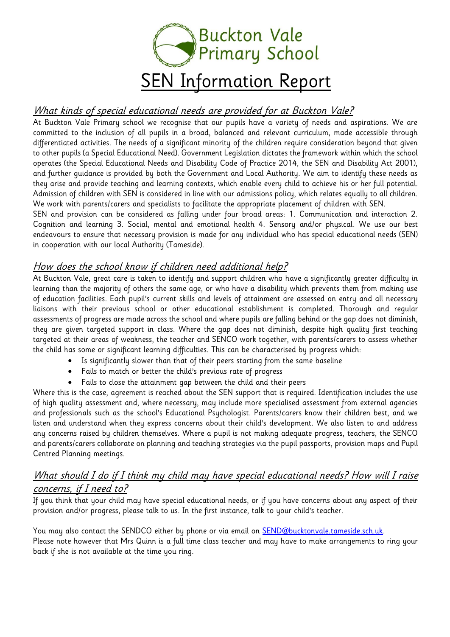

# What kinds of special educational needs are provided for at Buckton Vale?

At Buckton Vale Primary school we recognise that our pupils have a variety of needs and aspirations. We are committed to the inclusion of all pupils in a broad, balanced and relevant curriculum, made accessible through differentiated activities. The needs of a significant minority of the children require consideration beyond that given to other pupils (a Special Educational Need). Government Legislation dictates the framework within which the school operates (the Special Educational Needs and Disability Code of Practice 2014, the SEN and Disability Act 2001), and further guidance is provided by both the Government and Local Authority. We aim to identify these needs as they arise and provide teaching and learning contexts, which enable every child to achieve his or her full potential. Admission of children with SEN is considered in line with our admissions policy, which relates equally to all children. We work with parents/carers and specialists to facilitate the appropriate placement of children with SEN.

SEN and provision can be considered as falling under four broad areas: 1. Communication and interaction 2. Cognition and learning 3. Social, mental and emotional health 4. Sensory and/or physical. We use our best endeavours to ensure that necessary provision is made for any individual who has special educational needs (SEN) in cooperation with our local Authority (Tameside).

## How does the school know if children need additional help?

At Buckton Vale, great care is taken to identify and support children who have a significantly greater difficulty in learning than the majority of others the same age, or who have a disability which prevents them from making use of education facilities. Each pupil's current skills and levels of attainment are assessed on entry and all necessary liaisons with their previous school or other educational establishment is completed. Thorough and regular assessments of progress are made across the school and where pupils are falling behind or the gap does not diminish, they are given targeted support in class. Where the gap does not diminish, despite high quality first teaching targeted at their areas of weakness, the teacher and SENCO work together, with parents/carers to assess whether the child has some or significant learning difficulties. This can be characterised by progress which:

- Is significantly slower than that of their peers starting from the same baseline
- Fails to match or better the child's previous rate of progress
- Fails to close the attainment gap between the child and their peers

Where this is the case, agreement is reached about the SEN support that is required. Identification includes the use of high quality assessment and, where necessary, may include more specialised assessment from external agencies and professionals such as the school's Educational Psychologist. Parents/carers know their children best, and we listen and understand when they express concerns about their child's development. We also listen to and address any concerns raised by children themselves. Where a pupil is not making adequate progress, teachers, the SENCO and parents/carers collaborate on planning and teaching strategies via the pupil passports, provision maps and Pupil Centred Planning meetings.

## What should I do if I think my child may have special educational needs? How will I raise concerns, if I need to?

If you think that your child may have special educational needs, or if you have concerns about any aspect of their provision and/or progress, please talk to us. In the first instance, talk to your child's teacher.

You may also contact the SENDCO either by phone or via email on **SEND@bucktonvale.tameside.sch.uk**. Please note however that Mrs Quinn is a full time class teacher and may have to make arrangements to ring your back if she is not available at the time you ring.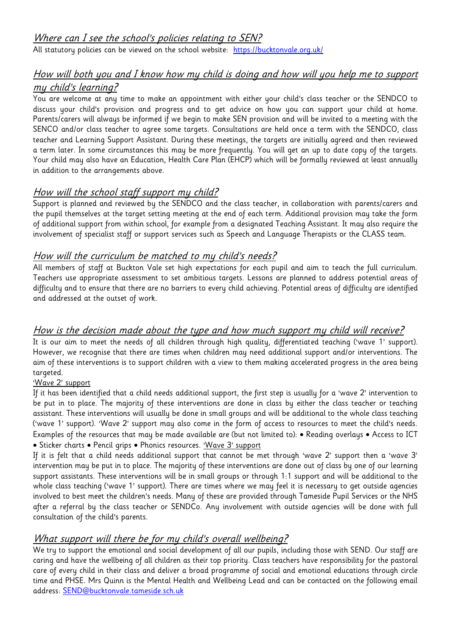All statutory policies can be viewed on the school website: <https://bucktonvale.org.uk/>

# How will both you and I know how my child is doing and how will you help me to support my child's learning?

You are welcome at any time to make an appointment with either your child's class teacher or the SENDCO to discuss your child's provision and progress and to get advice on how you can support your child at home. Parents/carers will always be informed if we begin to make SEN provision and will be invited to a meeting with the SENCO and/or class teacher to agree some targets. Consultations are held once a term with the SENDCO, class teacher and Learning Support Assistant. During these meetings, the targets are initially agreed and then reviewed a term later. In some circumstances this may be more frequently. You will get an up to date copy of the targets. Your child may also have an Education, Health Care Plan (EHCP) which will be formally reviewed at least annually in addition to the arrangements above.

# How will the school staff support my child?

Support is planned and reviewed by the SENDCO and the class teacher, in collaboration with parents/carers and the pupil themselves at the target setting meeting at the end of each term. Additional provision may take the form of additional support from within school, for example from a designated Teaching Assistant. It may also require the involvement of specialist staff or support services such as Speech and Language Therapists or the CLASS team.

## How will the curriculum be matched to my child's needs?

All members of staff at Buckton Vale set high expectations for each pupil and aim to teach the full curriculum. Teachers use appropriate assessment to set ambitious targets. Lessons are planned to address potential areas of difficulty and to ensure that there are no barriers to every child achieving. Potential areas of difficulty are identified and addressed at the outset of work.

## How is the decision made about the type and how much support my child will receive?

It is our aim to meet the needs of all children through high quality, differentiated teaching ('wave 1' support). However, we recognise that there are times when children may need additional support and/or interventions. The aim of these interventions is to support children with a view to them making accelerated progress in the area being targeted.

#### 'Wave 2' support

If it has been identified that a child needs additional support, the first step is usually for a 'wave 2' intervention to be put in to place. The majority of these interventions are done in class by either the class teacher or teaching assistant. These interventions will usually be done in small groups and will be additional to the whole class teaching ('wave 1' support). 'Wave 2' support may also come in the form of access to resources to meet the child's needs. Examples of the resources that may be made available are (but not limited to): • Reading overlays • Access to ICT • Sticker charts • Pencil grips • Phonics resources. 'Wave 3' support

If it is felt that a child needs additional support that cannot be met through 'wave 2' support then a 'wave 3' intervention may be put in to place. The majority of these interventions are done out of class by one of our learning support assistants. These interventions will be in small groups or through 1:1 support and will be additional to the whole class teaching ('wave 1' support). There are times where we may feel it is necessary to get outside agencies involved to best meet the children's needs. Many of these are provided through Tameside Pupil Services or the NHS after a referral by the class teacher or SENDCo. Any involvement with outside agencies will be done with full consultation of the child's parents.

# What support will there be for my child's overall wellbeing?

We try to support the emotional and social development of all our pupils, including those with SEND. Our staff are caring and have the wellbeing of all children as their top priority. Class teachers have responsibility for the pastoral care of every child in their class and deliver a broad programme of social and emotional educations through circle time and PHSE. Mrs Quinn is the Mental Health and Wellbeing Lead and can be contacted on the following email address: [SEND@bucktonvale.tameside.sch.uk](mailto:SEND@bucktonvale.tameside.sch.uk)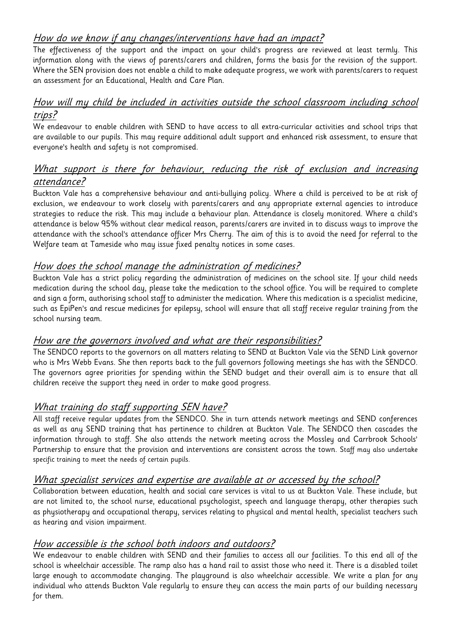# How do we know if any changes/interventions have had an impact?

The effectiveness of the support and the impact on your child's progress are reviewed at least termly. This information along with the views of parents/carers and children, forms the basis for the revision of the support. Where the SEN provision does not enable a child to make adequate progress, we work with parents/carers to request an assessment for an Educational, Health and Care Plan.

#### How will my child be included in activities outside the school classroom including school trips?

We endeavour to enable children with SEND to have access to all extra-curricular activities and school trips that are available to our pupils. This may require additional adult support and enhanced risk assessment, to ensure that everyone's health and safety is not compromised.

#### What support is there for behaviour, reducing the risk of exclusion and increasing attendance?

Buckton Vale has a comprehensive behaviour and anti-bullying policy. Where a child is perceived to be at risk of exclusion, we endeavour to work closely with parents/carers and any appropriate external agencies to introduce strategies to reduce the risk. This may include a behaviour plan. Attendance is closely monitored. Where a child's attendance is below 95% without clear medical reason, parents/carers are invited in to discuss ways to improve the attendance with the school's attendance officer Mrs Cherry. The aim of this is to avoid the need for referral to the Welfare team at Tameside who may issue fixed penalty notices in some cases.

## How does the school manage the administration of medicines?

Buckton Vale has a strict policy regarding the administration of medicines on the school site. If your child needs medication during the school day, please take the medication to the school office. You will be required to complete and sign a form, authorising school staff to administer the medication. Where this medication is a specialist medicine, such as EpiPen's and rescue medicines for epilepsy, school will ensure that all staff receive regular training from the school nursing team.

## How are the governors involved and what are their responsibilities?

The SENDCO reports to the governors on all matters relating to SEND at Buckton Vale via the SEND Link governor who is Mrs Webb Evans. She then reports back to the full governors following meetings she has with the SENDCO. The governors agree priorities for spending within the SEND budget and their overall aim is to ensure that all children receive the support they need in order to make good progress.

## What training do staff supporting SEN have?

All staff receive regular updates from the SENDCO. She in turn attends network meetings and SEND conferences as well as any SEND training that has pertinence to children at Buckton Vale. The SENDCO then cascades the information through to staff. She also attends the network meeting across the Mossley and Carrbrook Schools' Partnership to ensure that the provision and interventions are consistent across the town. Staff may also undertake specific training to meet the needs of certain pupils.

## What specialist services and expertise are available at or accessed by the school?

Collaboration between education, health and social care services is vital to us at Buckton Vale. These include, but are not limited to, the school nurse, educational psychologist, speech and language therapy, other therapies such as physiotherapy and occupational therapy, services relating to physical and mental health, specialist teachers such as hearing and vision impairment.

## How accessible is the school both indoors and outdoors?

We endeavour to enable children with SEND and their families to access all our facilities. To this end all of the school is wheelchair accessible. The ramp also has a hand rail to assist those who need it. There is a disabled toilet large enough to accommodate changing. The playground is also wheelchair accessible. We write a plan for any individual who attends Buckton Vale regularly to ensure they can access the main parts of our building necessary for them.